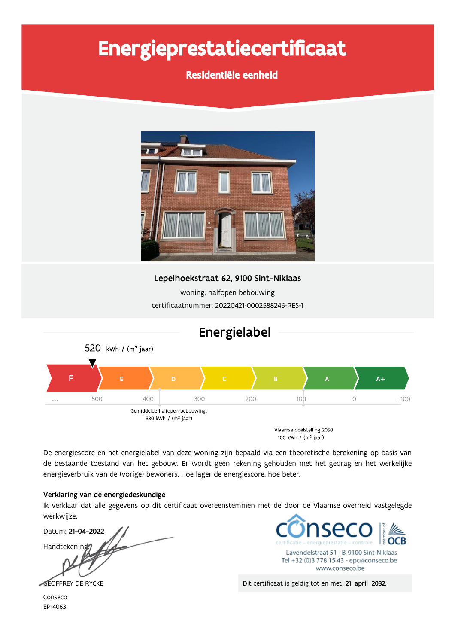# Energieprestatiecertificaat

Residentiële eenheid



Lepelhoekstraat 62, 9100 Sint-Niklaas

woning, halfopen bebouwing certificaatnummer: 20220421-0002588246-RES-1



De energiescore en het energielabel van deze woning zijn bepaald via een theoretische berekening op basis van de bestaande toestand van het gebouw. Er wordt geen rekening gehouden met het gedrag en het werkelijke energieverbruik van de (vorige) bewoners. Hoe lager de energiescore, hoe beter.

### Verklaring van de energiedeskundige

Ik verklaar dat alle gegevens op dit certificaat overeenstemmen met de door de Vlaamse overheid vastgelegde werkwijze.

Datum: 21-04-2022 Handtekening



Dit certificaat is geldig tot en met 21 april 2032.

GEOFFREY DE RYCKE

Conseco EP14063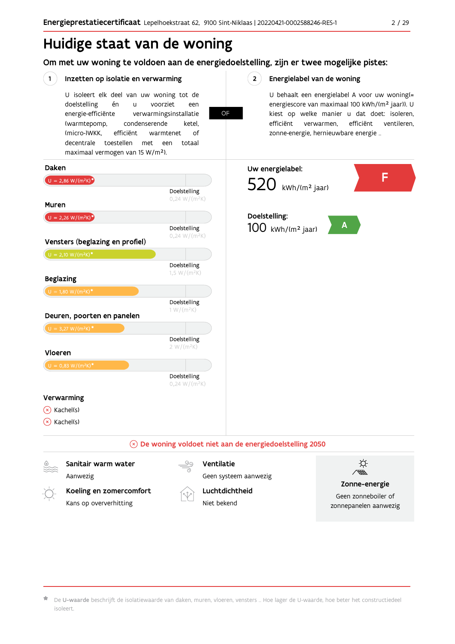## Huidige staat van de woning

## Om met uw woning te voldoen aan de energiedoelstelling, zijn er twee mogelijke pistes:

**OF** 

 $2^{\circ}$ 

#### $(1)$ Inzetten op isolatie en verwarming

U isoleert elk deel van uw woning tot de voorziet doelstelling én  $\mathbf{u}$ een energie-efficiënte verwarmingsinstallatie (warmtepomp, condenserende ketel. (micro-)WKK. efficiënt warmtenet  $\bigcap_{ }$ decentrale toestellen met een totaal maximaal vermogen van 15 W/m<sup>2</sup>).

Energielabel van de woning

U behaalt een energielabel A voor uw woning(= energiescore van maximaal 100 kWh/(m<sup>2</sup> jaar)). U kiest op welke manier u dat doet: isoleren, efficiënt ventileren, efficiënt verwarmen, zonne-energie, hernieuwbare energie ...



De U-waarde beschrijft de isolatiewaarde van daken, muren, vloeren, vensters ... Hoe lager de U-waarde, hoe beter het constructiedeel isoleert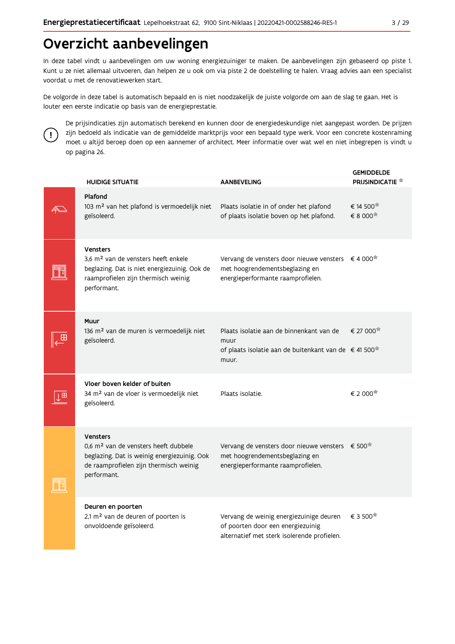## Overzicht aanbevelingen

In deze tabel vindt u aanbevelingen om uw woning energiezuiniger te maken. De aanbevelingen zijn gebaseerd op piste 1. Kunt u ze niet allemaal uitvoeren, dan helpen ze u ook om via piste 2 de doelstelling te halen. Vraag advies aan een specialist voordat u met de renovatiewerken start.

De volgorde in deze tabel is automatisch bepaald en is niet noodzakelijk de juiste volgorde om aan de slag te gaan. Het is louter een eerste indicatie op basis van de energieprestatie.



De prijsindicaties zijn automatisch berekend en kunnen door de energiedeskundige niet aangepast worden. De prijzen zijn bedoeld als indicatie van de gemiddelde marktprijs voor een bepaald type werk. Voor een concrete kostenraming moet u altijd beroep doen op een aannemer of architect. Meer informatie over wat wel en niet inbegrepen is vindt u op pagina 26.

| <b>HUIDIGE SITUATIE</b>                                                                                                                                                     | <b>AANBEVELING</b>                                                                                                                          | <b>GEMIDDELDE</b><br><b>PRIJSINDICATIE</b> |
|-----------------------------------------------------------------------------------------------------------------------------------------------------------------------------|---------------------------------------------------------------------------------------------------------------------------------------------|--------------------------------------------|
| Plafond<br>103 m <sup>2</sup> van het plafond is vermoedelijk niet<br>geïsoleerd.                                                                                           | Plaats isolatie in of onder het plafond<br>of plaats isolatie boven op het plafond.                                                         | € 14 500<br>€ 8 000 <sup>★</sup>           |
| <b>Vensters</b><br>3,6 m <sup>2</sup> van de vensters heeft enkele<br>beglazing. Dat is niet energiezuinig. Ook de<br>raamprofielen zijn thermisch weinig<br>performant.    | Vervang de vensters door nieuwe vensters € 4 000 <sup>*</sup><br>met hoogrendementsbeglazing en<br>energieperformante raamprofielen.        |                                            |
| Muur<br>136 m <sup>2</sup> van de muren is vermoedelijk niet<br>geïsoleerd.                                                                                                 | Plaats isolatie aan de binnenkant van de<br>muur<br>of plaats isolatie aan de buitenkant van de €41 500 <sup>*</sup><br>muur.               | € 27 000                                   |
| Vloer boven kelder of buiten<br>34 m <sup>2</sup> van de vloer is vermoedelijk niet<br>geïsoleerd.                                                                          | Plaats isolatie.                                                                                                                            | € 2 000                                    |
| <b>Vensters</b><br>0.6 m <sup>2</sup> van de vensters heeft dubbele<br>beglazing. Dat is weinig energiezuinig. Ook<br>de raamprofielen zijn thermisch weinig<br>performant. | Vervang de vensters door nieuwe vensters $\epsilon$ 500 <sup>*</sup><br>met hoogrendementsbeglazing en<br>energieperformante raamprofielen. |                                            |
| Deuren en poorten<br>2,1 m <sup>2</sup> van de deuren of poorten is<br>onvoldoende geïsoleerd.                                                                              | Vervang de weinig energiezuinige deuren<br>of poorten door een energiezuinig<br>alternatief met sterk isolerende profielen.                 | € 3 500 <sup>*</sup>                       |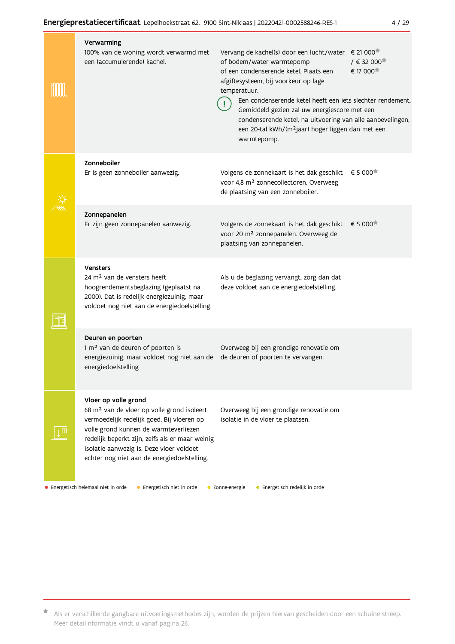| Verwarming<br>100% van de woning wordt verwarmd met<br>een (accumulerende) kachel.                                                                                                                                                                                                                                  | € 21 000<br>Vervang de kachel(s) door een lucht/water<br>$/$ € 32 000 <sup><math>#</math></sup><br>of bodem/water warmtepomp<br>€ 17 000<br>of een condenserende ketel. Plaats een<br>afgiftesysteem, bij voorkeur op lage<br>temperatuur.<br>Een condenserende ketel heeft een iets slechter rendement.<br>Gemiddeld gezien zal uw energiescore met een<br>condenserende ketel, na uitvoering van alle aanbevelingen,<br>een 20-tal kWh/(m <sup>2</sup> jaar) hoger liggen dan met een<br>warmtepomp. |  |  |  |  |  |  |  |
|---------------------------------------------------------------------------------------------------------------------------------------------------------------------------------------------------------------------------------------------------------------------------------------------------------------------|--------------------------------------------------------------------------------------------------------------------------------------------------------------------------------------------------------------------------------------------------------------------------------------------------------------------------------------------------------------------------------------------------------------------------------------------------------------------------------------------------------|--|--|--|--|--|--|--|
| Zonneboiler<br>Er is geen zonneboiler aanwezig.                                                                                                                                                                                                                                                                     | Volgens de zonnekaart is het dak geschikt<br>€ 5 000<br>voor 4,8 m <sup>2</sup> zonnecollectoren. Overweeg<br>de plaatsing van een zonneboiler.                                                                                                                                                                                                                                                                                                                                                        |  |  |  |  |  |  |  |
| Zonnepanelen<br>Er zijn geen zonnepanelen aanwezig.                                                                                                                                                                                                                                                                 | € 5 000<br>Volgens de zonnekaart is het dak geschikt<br>voor 20 m <sup>2</sup> zonnepanelen. Overweeg de<br>plaatsing van zonnepanelen.                                                                                                                                                                                                                                                                                                                                                                |  |  |  |  |  |  |  |
| <b>Vensters</b><br>24 m <sup>2</sup> van de vensters heeft<br>hoogrendementsbeglazing (geplaatst na<br>2000). Dat is redelijk energiezuinig, maar<br>voldoet nog niet aan de energiedoelstelling.                                                                                                                   | Als u de beglazing vervangt, zorg dan dat<br>deze voldoet aan de energiedoelstelling.                                                                                                                                                                                                                                                                                                                                                                                                                  |  |  |  |  |  |  |  |
| Deuren en poorten<br>1 m <sup>2</sup> van de deuren of poorten is<br>energiezuinig, maar voldoet nog niet aan de<br>energiedoelstelling                                                                                                                                                                             | Overweeg bij een grondige renovatie om<br>de deuren of poorten te vervangen.                                                                                                                                                                                                                                                                                                                                                                                                                           |  |  |  |  |  |  |  |
| Vloer op volle grond<br>68 m <sup>2</sup> van de vloer op volle grond isoleert<br>vermoedelijk redelijk goed. Bij vloeren op<br>volle grond kunnen de warmteverliezen<br>redelijk beperkt zijn, zelfs als er maar weinig<br>isolatie aanwezig is. Deze vloer voldoet<br>echter nog niet aan de energiedoelstelling. | Overweeg bij een grondige renovatie om<br>isolatie in de vloer te plaatsen.                                                                                                                                                                                                                                                                                                                                                                                                                            |  |  |  |  |  |  |  |
| • Energetisch helemaal niet in orde<br>• Energetisch niet in orde<br>• Zonne-energie<br>• Energetisch redelijk in orde                                                                                                                                                                                              |                                                                                                                                                                                                                                                                                                                                                                                                                                                                                                        |  |  |  |  |  |  |  |

\* Als er verschillende gangbare uitvoeringsmethodes zijn, worden de prijzen hiervan gescheiden door een schuine streep. Meer detailinformatie vindt u vanaf pagina 26.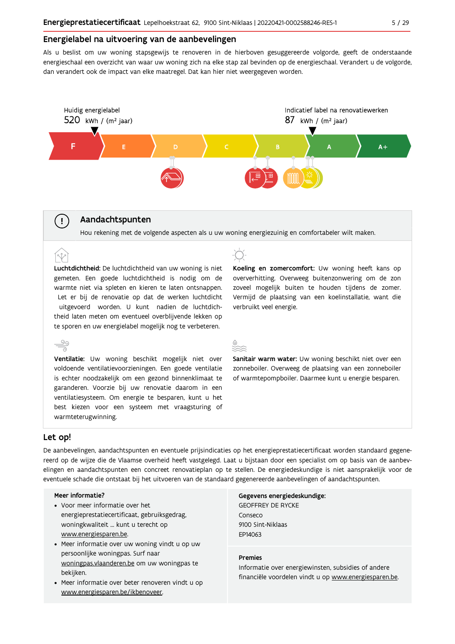### Energielabel na uitvoering van de aanbevelingen

Als u beslist om uw woning stapsgewijs te renoveren in de hierboven gesuggereerde volgorde, geeft de onderstaande energieschaal een overzicht van waar uw woning zich na elke stap zal bevinden op de energieschaal. Verandert u de volgorde, dan verandert ook de impact van elke maatregel. Dat kan hier niet weergegeven worden.



## Aandachtspunten

Hou rekening met de volgende aspecten als u uw woning energiezuinig en comfortabeler wilt maken.

Luchtdichtheid: De luchtdichtheid van uw woning is niet gemeten. Een goede luchtdichtheid is nodig om de warmte niet via spleten en kieren te laten ontsnappen. Let er bij de renovatie op dat de werken luchtdicht uitgevoerd worden. U kunt nadien de luchtdichtheid laten meten om eventueel overblijvende lekken op te sporen en uw energielabel mogelijk nog te verbeteren.



Koeling en zomercomfort: Uw woning heeft kans op oververhitting. Overweeg buitenzonwering om de zon zoveel mogelijk buiten te houden tijdens de zomer. Vermijd de plaatsing van een koelinstallatie, want die verbruikt veel energie.

Sanitair warm water: Uw woning beschikt niet over een zonneboiler. Overweeg de plaatsing van een zonneboiler of warmtepompboiler. Daarmee kunt u energie besparen.

### Let op!

 $(\bot)$ 

(r.t

De aanbevelingen, aandachtspunten en eventuele prijsindicaties op het energieprestatiecertificaat worden standaard gegenereerd op de wijze die de Vlaamse overheid heeft vastgelegd. Laat u bijstaan door een specialist om op basis van de aanbevelingen en aandachtspunten een concreet renovatieplan op te stellen. De energiedeskundige is niet aansprakelijk voor de eventuele schade die ontstaat bij het uitvoeren van de standaard gegenereerde aanbevelingen of aandachtspunten.

#### Meer informatie?

warmteterugwinning.

- Voor meer informatie over het energieprestatiecertificaat, gebruiksgedrag, woningkwaliteit ... kunt u terecht op www.energiesparen.be.
- Meer informatie over uw woning vindt u op uw persoonlijke woningpas. Surf naar woningpas.vlaanderen.be om uw woningpas te bekijken.
- Meer informatie over beter renoveren vindt u op www.energiesparen.be/ikbenoveer.

Gegevens energiedeskundige: **GEOFFREY DE RYCKE** Conseco 9100 Sint-Niklaas EP14063

#### **Premies**

Informatie over energiewinsten, subsidies of andere financiële voordelen vindt u op www.energiesparen.be.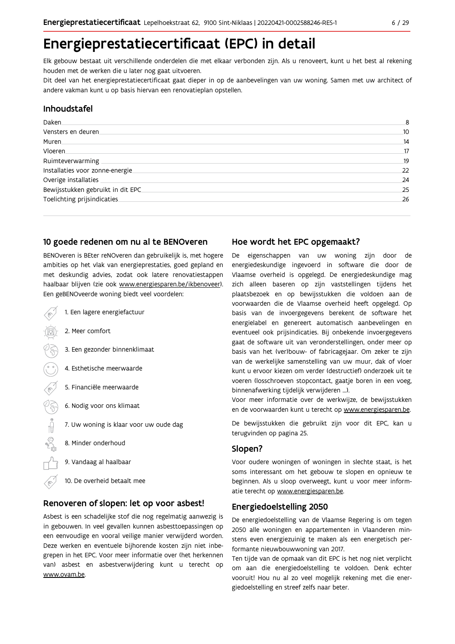## Energieprestatiecertificaat (EPC) in detail

Elk gebouw bestaat uit verschillende onderdelen die met elkaar verbonden zijn. Als u renoveert, kunt u het best al rekening houden met de werken die u later nog gaat uitvoeren.

Dit deel van het energieprestatiecertificaat gaat dieper in op de aanbevelingen van uw woning. Samen met uw architect of andere vakman kunt u op basis hiervan een renovatieplan opstellen.

### Inhoudstafel

| Daken.                            | 8   |
|-----------------------------------|-----|
| Vensters en deuren.               | 10  |
| Muren.                            | 14  |
| Vloeren                           | 17  |
| Ruimteverwarming                  | .19 |
| Installaties voor zonne-energie.  | 22  |
| Overige installaties              | 24  |
| Bewijsstukken gebruikt in dit EPC | 25  |
| Toelichting prijsindicaties       | 26  |
|                                   |     |

#### 10 goede redenen om nu al te BENOveren

BENOveren is BEter reNOveren dan gebruikelijk is, met hogere ambities op het vlak van energieprestaties, goed gepland en met deskundig advies, zodat ook latere renovatiestappen haalbaar blijven (zie ook www.energiesparen.be/ikbenoveer). Een geBENOveerde woning biedt veel voordelen:

- 1. Een lagere energiefactuur 2. Meer comfort 3. Een gezonder binnenklimaat 4. Esthetische meerwaarde 5. Financiële meerwaarde 03 6. Nodig voor ons klimaat  $\begin{picture}(180,10) \put(0,0){\line(1,0){10}} \put(10,0){\line(1,0){10}} \put(10,0){\line(1,0){10}} \put(10,0){\line(1,0){10}} \put(10,0){\line(1,0){10}} \put(10,0){\line(1,0){10}} \put(10,0){\line(1,0){10}} \put(10,0){\line(1,0){10}} \put(10,0){\line(1,0){10}} \put(10,0){\line(1,0){10}} \put(10,0){\line(1,0){10}} \put(10,0){\line($ 7. Uw woning is klaar voor uw oude dag 8. Minder onderhoud 9. Vandaag al haalbaar
	- 10. De overheid betaalt mee

#### Renoveren of slopen: let op voor asbest!

Asbest is een schadelijke stof die nog regelmatig aanwezig is in gebouwen. In veel gevallen kunnen asbesttoepassingen op een eenvoudige en vooral veilige manier verwijderd worden. Deze werken en eventuele bijhorende kosten zijn niet inbegrepen in het EPC. Voor meer informatie over (het herkennen van) asbest en asbestverwijdering kunt u terecht op www.ovam.be.

#### Hoe wordt het EPC opgemaakt?

De eigenschappen van uw woning zijn door de energiedeskundige ingevoerd in software die door de Vlaamse overheid is opgelegd. De energiedeskundige mag zich alleen baseren op zijn vaststellingen tijdens het plaatsbezoek en op bewijsstukken die voldoen aan de voorwaarden die de Vlaamse overheid heeft opgelegd. Op basis van de invoergegevens berekent de software het energielabel en genereert automatisch aanbevelingen en eventueel ook prijsindicaties. Bij onbekende invoergegevens gaat de software uit van veronderstellingen, onder meer op basis van het (ver)bouw- of fabricagejaar. Om zeker te zijn van de werkelijke samenstelling van uw muur, dak of vloer kunt u ervoor kiezen om verder (destructief) onderzoek uit te voeren (losschroeven stopcontact, gaatje boren in een voeg, binnenafwerking tijdelijk verwijderen ...).

Voor meer informatie over de werkwijze, de bewijsstukken en de voorwaarden kunt u terecht op www.energiesparen.be.

De bewijsstukken die gebruikt zijn voor dit EPC, kan u terugvinden op pagina 25.

### Slopen?

Voor oudere woningen of woningen in slechte staat, is het soms interessant om het gebouw te slopen en opnieuw te beginnen. Als u sloop overweegt, kunt u voor meer informatie terecht op www.energiesparen.be.

#### **Energiedoelstelling 2050**

De energiedoelstelling van de Vlaamse Regering is om tegen 2050 alle woningen en appartementen in Vlaanderen minstens even energiezuinig te maken als een energetisch performante nieuwbouwwoning van 2017.

Ten tijde van de opmaak van dit EPC is het nog niet verplicht om aan die energiedoelstelling te voldoen. Denk echter vooruit! Hou nu al zo veel mogelijk rekening met die energiedoelstelling en streef zelfs naar beter.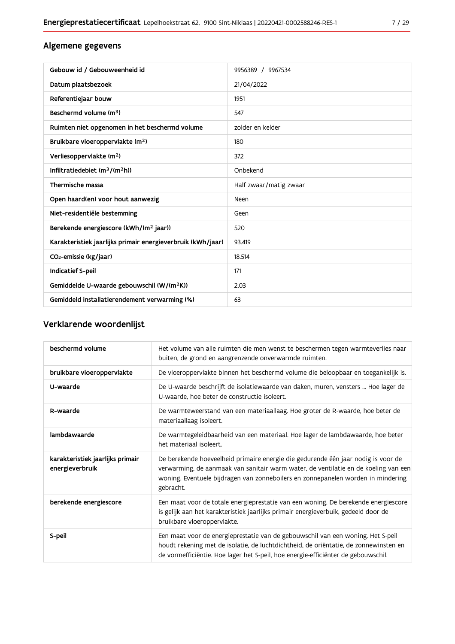## Algemene gegevens

| Gebouw id / Gebouweenheid id                                | 9956389 / 9967534      |
|-------------------------------------------------------------|------------------------|
| Datum plaatsbezoek                                          | 21/04/2022             |
| Referentiejaar bouw                                         | 1951                   |
| Beschermd volume (m <sup>3</sup> )                          | 547                    |
| Ruimten niet opgenomen in het beschermd volume              | zolder en kelder       |
| Bruikbare vloeroppervlakte (m <sup>2</sup> )                | 180                    |
| Verliesoppervlakte (m <sup>2</sup> )                        | 372                    |
| Infiltratiedebiet $(m^3/(m^2h))$                            | Onbekend               |
| Thermische massa                                            | Half zwaar/matig zwaar |
| Open haard(en) voor hout aanwezig                           | <b>Neen</b>            |
| Niet-residentiële bestemming                                | Geen                   |
| Berekende energiescore (kWh/(m <sup>2</sup> jaar))          | 520                    |
| Karakteristiek jaarlijks primair energieverbruik (kWh/jaar) | 93.419                 |
| CO <sub>2</sub> -emissie (kg/jaar)                          | 18.514                 |
| <b>Indicatief S-peil</b>                                    | 171                    |
| Gemiddelde U-waarde gebouwschil (W/(m <sup>2</sup> K))      | 2,03                   |
| Gemiddeld installatierendement verwarming (%)               | 63                     |

## Verklarende woordenlijst

| beschermd volume                                    | Het volume van alle ruimten die men wenst te beschermen tegen warmteverlies naar<br>buiten, de grond en aangrenzende onverwarmde ruimten.                                                                                                                                 |
|-----------------------------------------------------|---------------------------------------------------------------------------------------------------------------------------------------------------------------------------------------------------------------------------------------------------------------------------|
| bruikbare vloeroppervlakte                          | De vloeroppervlakte binnen het beschermd volume die beloopbaar en toegankelijk is.                                                                                                                                                                                        |
| U-waarde                                            | De U-waarde beschrijft de isolatiewaarde van daken, muren, vensters  Hoe lager de<br>U-waarde, hoe beter de constructie isoleert.                                                                                                                                         |
| R-waarde                                            | De warmteweerstand van een materiaallaag. Hoe groter de R-waarde, hoe beter de<br>materiaallaag isoleert.                                                                                                                                                                 |
| lambdawaarde                                        | De warmtegeleidbaarheid van een materiaal. Hoe lager de lambdawaarde, hoe beter<br>het materiaal isoleert.                                                                                                                                                                |
| karakteristiek jaarlijks primair<br>energieverbruik | De berekende hoeveelheid primaire energie die gedurende één jaar nodig is voor de<br>verwarming, de aanmaak van sanitair warm water, de ventilatie en de koeling van een<br>woning. Eventuele bijdragen van zonneboilers en zonnepanelen worden in mindering<br>gebracht. |
| berekende energiescore                              | Een maat voor de totale energieprestatie van een woning. De berekende energiescore<br>is gelijk aan het karakteristiek jaarlijks primair energieverbuik, gedeeld door de<br>bruikbare vloeroppervlakte.                                                                   |
| S-peil                                              | Een maat voor de energieprestatie van de gebouwschil van een woning. Het S-peil<br>houdt rekening met de isolatie, de luchtdichtheid, de oriëntatie, de zonnewinsten en<br>de vormefficiëntie. Hoe lager het S-peil, hoe energie-efficiënter de gebouwschil.              |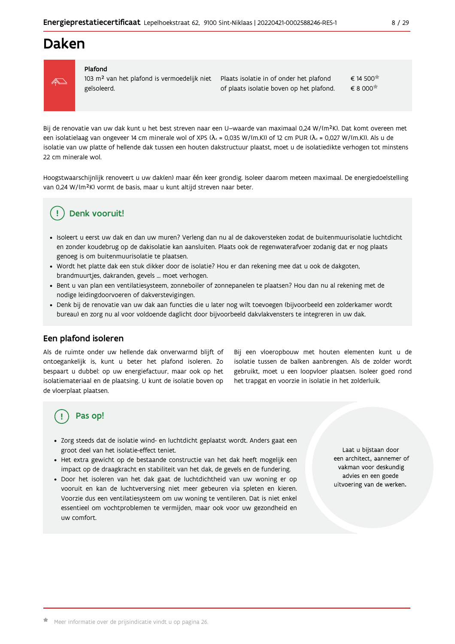## Daken



#### Plafond

103 m<sup>2</sup> van het plafond is vermoedelijk niet geïsoleerd.

€ 14 500<sup>★</sup> Plaats isolatie in of onder het plafond of plaats isolatie boven op het plafond. € 8 000

Bij de renovatie van uw dak kunt u het best streven naar een U-waarde van maximaal 0,24 W/(m<sup>2</sup>K). Dat komt overeen met een isolatielaag van ongeveer 14 cm minerale wol of XPS ( $\lambda_a$  = 0,035 W/(m.K)) of 12 cm PUR ( $\lambda_a$  = 0,027 W/(m.K)). Als u de isolatie van uw platte of hellende dak tussen een houten dakstructuur plaatst, moet u de isolatiedikte verhogen tot minstens 22 cm minerale wol.

Hoogstwaarschijnlijk renoveert u uw dak(en) maar één keer grondig. Isoleer daarom meteen maximaal. De energiedoelstelling van 0,24 W/(m<sup>2</sup>K) vormt de basis, maar u kunt altijd streven naar beter.

#### Denk vooruit! J.

- · Isoleert u eerst uw dak en dan uw muren? Verleng dan nu al de dakoversteken zodat de buitenmuurisolatie luchtdicht en zonder koudebrug op de dakisolatie kan aansluiten. Plaats ook de regenwaterafvoer zodanig dat er nog plaats genoeg is om buitenmuurisolatie te plaatsen.
- · Wordt het platte dak een stuk dikker door de isolatie? Hou er dan rekening mee dat u ook de dakgoten, brandmuurtjes, dakranden, gevels ... moet verhogen.
- Bent u van plan een ventilatiesysteem, zonneboiler of zonnepanelen te plaatsen? Hou dan nu al rekening met de nodige leidingdoorvoeren of dakverstevigingen.
- · Denk bij de renovatie van uw dak aan functies die u later nog wilt toevoegen (bijvoorbeeld een zolderkamer wordt bureau) en zorg nu al voor voldoende daglicht door bijvoorbeeld dakvlakvensters te integreren in uw dak.

## Een plafond isoleren

Als de ruimte onder uw hellende dak onverwarmd blijft of ontoegankelijk is, kunt u beter het plafond isoleren. Zo bespaart u dubbel: op uw energiefactuur, maar ook op het isolatiemateriaal en de plaatsing. U kunt de isolatie boven op de vloerplaat plaatsen.

Bij een vloeropbouw met houten elementen kunt u de isolatie tussen de balken aanbrengen. Als de zolder wordt gebruikt, moet u een loopvloer plaatsen. Isoleer goed rond het trapgat en voorzie in isolatie in het zolderluik.

## Pas op!

- · Zorg steeds dat de isolatie wind- en luchtdicht geplaatst wordt. Anders gaat een groot deel van het isolatie-effect teniet.
- · Het extra gewicht op de bestaande constructie van het dak heeft mogelijk een impact op de draagkracht en stabiliteit van het dak, de gevels en de fundering.
- · Door het isoleren van het dak gaat de luchtdichtheid van uw woning er op vooruit en kan de luchtverversing niet meer gebeuren via spleten en kieren. Voorzie dus een ventilatiesysteem om uw woning te ventileren. Dat is niet enkel essentieel om vochtproblemen te vermijden, maar ook voor uw gezondheid en uw comfort.

Laat u bijstaan door een architect, aannemer of vakman voor deskundig advies en een goede uitvoering van de werken.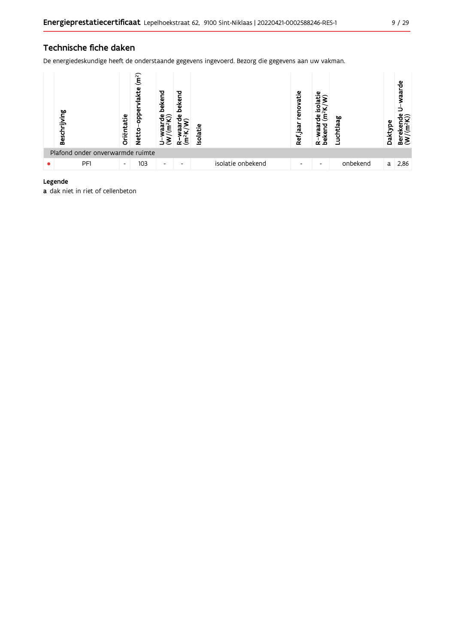## Technische fiche daken

De energiedeskundige heeft de onderstaande gegevens ingevoerd. Bezorg die gegevens aan uw vakman.



### Legende

a dak niet in riet of cellenbeton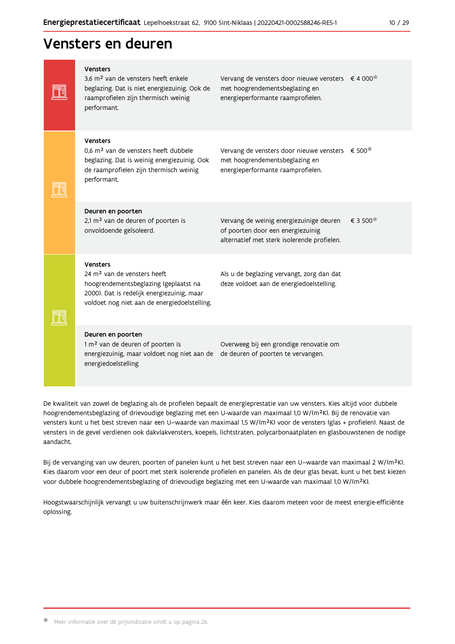## Vensters en deuren

| <b>Vensters</b><br>3,6 m <sup>2</sup> van de vensters heeft enkele<br>beglazing. Dat is niet energiezuinig. Ook de<br>raamprofielen zijn thermisch weinig<br>performant.                   | Vervang de vensters door nieuwe vensters $\epsilon$ 4 000 <sup>*</sup><br>met hoogrendementsbeglazing en<br>energieperformante raamprofielen. |         |
|--------------------------------------------------------------------------------------------------------------------------------------------------------------------------------------------|-----------------------------------------------------------------------------------------------------------------------------------------------|---------|
| Vensters<br>0,6 m <sup>2</sup> van de vensters heeft dubbele<br>beglazing. Dat is weinig energiezuinig. Ook<br>de raamprofielen zijn thermisch weinig<br>performant.                       | Vervang de vensters door nieuwe vensters € 500 <sup>*</sup><br>met hoogrendementsbeglazing en<br>energieperformante raamprofielen.            |         |
| Deuren en poorten<br>2,1 m <sup>2</sup> van de deuren of poorten is<br>onvoldoende geïsoleerd.                                                                                             | Vervang de weinig energiezuinige deuren<br>of poorten door een energiezuinig<br>alternatief met sterk isolerende profielen.                   | € 3 500 |
| Vensters<br>24 m <sup>2</sup> van de vensters heeft<br>hoogrendementsbeglazing (geplaatst na<br>2000). Dat is redelijk energiezuinig, maar<br>voldoet nog niet aan de energiedoelstelling. | Als u de beglazing vervangt, zorg dan dat<br>deze voldoet aan de energiedoelstelling.                                                         |         |
| Deuren en poorten<br>1 m <sup>2</sup> van de deuren of poorten is<br>energiezuinig, maar voldoet nog niet aan de<br>energiedoelstelling                                                    | Overweeg bij een grondige renovatie om<br>de deuren of poorten te vervangen.                                                                  |         |

De kwaliteit van zowel de beglazing als de profielen bepaalt de energieprestatie van uw vensters. Kies altijd voor dubbele hoogrendementsbeglazing of drievoudige beglazing met een U-waarde van maximaal 1,0 W/(m<sup>2</sup>K). Bij de renovatie van vensters kunt u het best streven naar een U-waarde van maximaal 1,5 W/(m<sup>2</sup>K) voor de vensters (glas + profielen). Naast de vensters in de gevel verdienen ook dakvlakvensters, koepels, lichtstraten, polycarbonaatplaten en glasbouwstenen de nodige aandacht.

Bij de vervanging van uw deuren, poorten of panelen kunt u het best streven naar een U-waarde van maximaal 2 W/(m<sup>2</sup>K). Kies daarom voor een deur of poort met sterk isolerende profielen en panelen. Als de deur glas bevat, kunt u het best kiezen voor dubbele hoogrendementsbeglazing of drievoudige beglazing met een U-waarde van maximaal 1,0 W/(m<sup>2</sup>K).

Hoogstwaarschijnlijk vervangt u uw buitenschrijnwerk maar één keer. Kies daarom meteen voor de meest energie-efficiënte oplossing.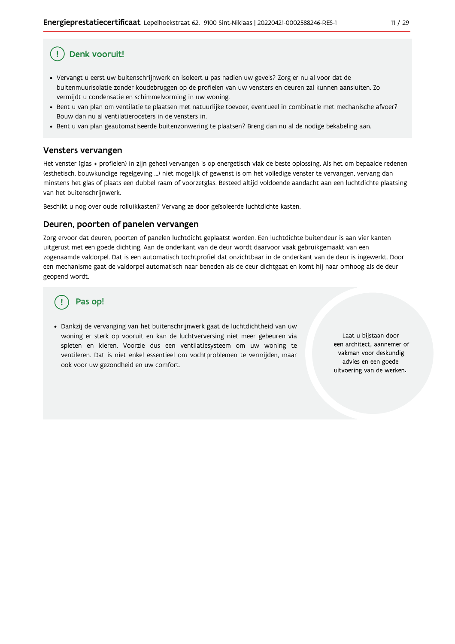## Denk vooruit!

- · Vervangt u eerst uw buitenschrijnwerk en isoleert u pas nadien uw gevels? Zorg er nu al voor dat de buitenmuurisolatie zonder koudebruggen op de profielen van uw vensters en deuren zal kunnen aansluiten. Zo vermijdt u condensatie en schimmelvorming in uw woning.
- Bent u van plan om ventilatie te plaatsen met natuurlijke toevoer, eventueel in combinatie met mechanische afvoer? Bouw dan nu al ventilatieroosters in de vensters in.
- · Bent u van plan geautomatiseerde buitenzonwering te plaatsen? Breng dan nu al de nodige bekabeling aan.

### Vensters vervangen

Het venster (glas + profielen) in zijn geheel vervangen is op energetisch vlak de beste oplossing. Als het om bepaalde redenen (esthetisch, bouwkundige regelgeving ...) niet mogelijk of gewenst is om het volledige venster te vervangen, vervang dan minstens het glas of plaats een dubbel raam of voorzetglas. Besteed altijd voldoende aandacht aan een luchtdichte plaatsing van het buitenschrijnwerk.

Beschikt u nog over oude rolluikkasten? Vervang ze door geïsoleerde luchtdichte kasten.

#### Deuren, poorten of panelen vervangen

Zorg ervoor dat deuren, poorten of panelen luchtdicht geplaatst worden. Een luchtdichte buitendeur is aan vier kanten uitgerust met een goede dichting. Aan de onderkant van de deur wordt daarvoor vaak gebruikgemaakt van een zogenaamde valdorpel. Dat is een automatisch tochtprofiel dat onzichtbaar in de onderkant van de deur is ingewerkt. Door een mechanisme gaat de valdorpel automatisch naar beneden als de deur dichtgaat en komt hij naar omhoog als de deur geopend wordt.

## Pas op!

· Dankzij de vervanging van het buitenschrijnwerk gaat de luchtdichtheid van uw woning er sterk op vooruit en kan de luchtverversing niet meer gebeuren via spleten en kieren. Voorzie dus een ventilatiesysteem om uw woning te ventileren. Dat is niet enkel essentieel om vochtproblemen te vermijden, maar ook voor uw gezondheid en uw comfort.

Laat u bijstaan door een architect, aannemer of vakman voor deskundig advies en een goede uitvoering van de werken.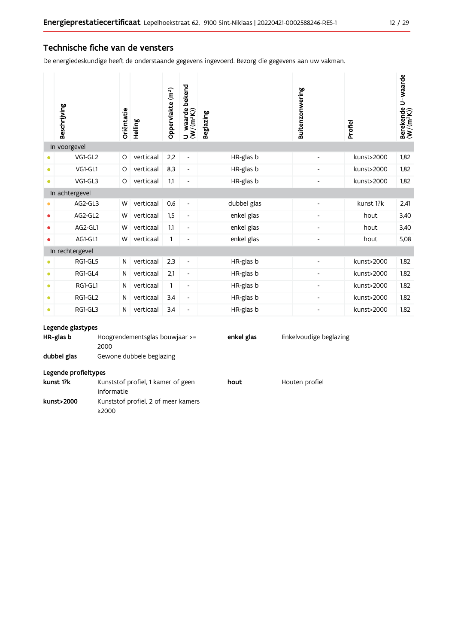### Technische fiche van de vensters

De energiedeskundige heeft de onderstaande gegevens ingevoerd. Bezorg die gegevens aan uw vakman.

|           | Beschrijving    | Oriëntatie | Helling   | Oppervlakte (m <sup>2</sup> ) | bekend<br>$U$ –waarde l $(W/(m^2K))$ | <b>Beglazing</b> | Buitenzonwering          | Profiel    | Berekende U-waarde<br>(W/(m <sup>2</sup> K)) |
|-----------|-----------------|------------|-----------|-------------------------------|--------------------------------------|------------------|--------------------------|------------|----------------------------------------------|
|           | In voorgevel    |            |           |                               |                                      |                  |                          |            |                                              |
|           | VG1-GL2         | $\circ$    | verticaal | 2,2                           | $\overline{\phantom{a}}$             | HR-glas b        | $\overline{a}$           | kunst>2000 | 1,82                                         |
| $\bullet$ | VG1-GL1         | O          | verticaal | 8,3                           | $\overline{\phantom{a}}$             | HR-glas b        | $\overline{\phantom{a}}$ | kunst>2000 | 1,82                                         |
| $\bullet$ | VG1-GL3         | $\circ$    | verticaal | 1,1                           | $\overline{\phantom{a}}$             | HR-glas b        | $\overline{\phantom{a}}$ | kunst>2000 | 1.82                                         |
|           | In achtergevel  |            |           |                               |                                      |                  |                          |            |                                              |
| ٠         | AG2-GL3         | W          | verticaal | 0,6                           | $\overline{\phantom{a}}$             | dubbel glas      |                          | kunst 1?k  | 2,41                                         |
| ٠         | AG2-GL2         | W          | verticaal | 1,5                           | $\overline{\phantom{a}}$             | enkel glas       | $\overline{\phantom{a}}$ | hout       | 3,40                                         |
| ۰         | AG2-GL1         | W          | verticaal | 1,1                           | $\overline{\phantom{a}}$             | enkel glas       | $\overline{\phantom{a}}$ | hout       | 3,40                                         |
| $\bullet$ | AG1-GL1         | W          | verticaal | 1                             | $\overline{\phantom{a}}$             | enkel glas       | $\overline{a}$           | hout       | 5,08                                         |
|           | In rechtergevel |            |           |                               |                                      |                  |                          |            |                                              |
|           | RG1-GL5         | N          | verticaal | 2,3                           | $\overline{\phantom{a}}$             | HR-glas b        | $\overline{\phantom{a}}$ | kunst>2000 | 1,82                                         |
| $\bullet$ | RG1-GL4         | N          | verticaal | 2,1                           | $\overline{\phantom{a}}$             | HR-glas b        | $\overline{a}$           | kunst>2000 | 1,82                                         |
| $\bullet$ | RG1-GL1         | N          | verticaal | 1                             | $\overline{\phantom{a}}$             | HR-glas b        | $\overline{\phantom{a}}$ | kunst>2000 | 1,82                                         |
| $\bullet$ | RG1-GL2         | N          | verticaal | 3,4                           | $\overline{\phantom{a}}$             | HR-glas b        |                          | kunst>2000 | 1,82                                         |
| $\bullet$ | RG1-GL3         | N          | verticaal | 3,4                           | $\overline{\phantom{a}}$             | HR-glas b        | $\overline{\phantom{a}}$ | kunst>2000 | 1,82                                         |
|           |                 |            |           |                               |                                      |                  |                          |            |                                              |

#### Legende glastypes

kunst>2000

| HR-glas b            | Hoogrendementsglas bouwjaar $\ge$ =<br>2000 | enkel glas | Enkelvoudige beglazing |
|----------------------|---------------------------------------------|------------|------------------------|
| dubbel glas          | Gewone dubbele beglazing                    |            |                        |
| Legende profieltypes |                                             |            |                        |
| kunst 1?k            | Kunststof profiel, 1 kamer of geen          | hout       | Houten profiel         |
|                      | informatie                                  |            |                        |

Kunststof profiel, 2 of meer kamers

 $\geq$  2000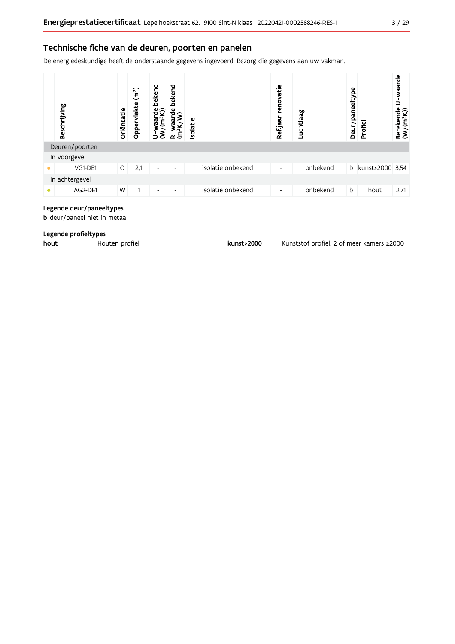## Technische fiche van de deuren, poorten en panelen

De energiedeskundige heeft de onderstaande gegevens ingevoerd. Bezorg die gegevens aan uw vakman.



#### Legende deur/paneeltypes

**b** deur/paneel niet in metaal

#### Legende profieltypes

hout Houten profiel

kunst>2000

Kunststof profiel, 2 of meer kamers ≥2000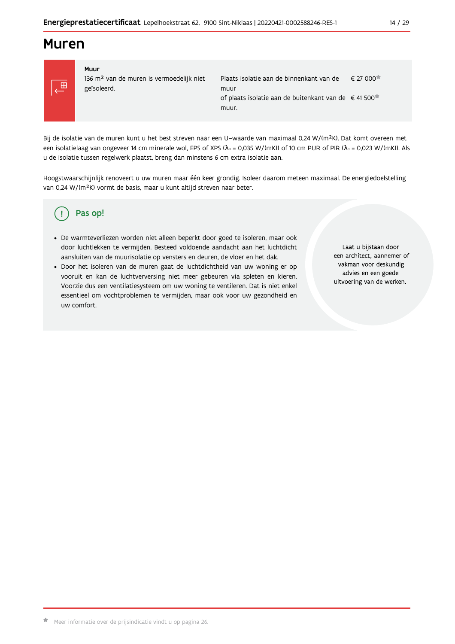## **Muren**



#### Muur 136 m<sup>2</sup> van de muren is vermoedelijk niet geïsoleerd.

| Plaats isolatie aan de binnenkant van de                         | € 27 000 |
|------------------------------------------------------------------|----------|
| muur                                                             |          |
| of plaats isolatie aan de buitenkant van de €41 500 <sup>*</sup> |          |
| muur.                                                            |          |

Bij de isolatie van de muren kunt u het best streven naar een U-waarde van maximaal 0,24 W/(m<sup>2</sup>K). Dat komt overeen met een isolatielaag van ongeveer 14 cm minerale wol, EPS of XPS ( $\lambda_a$  = 0,035 W/(mK)) of 10 cm PUR of PIR ( $\lambda_a$  = 0,023 W/(mK)). Als u de isolatie tussen regelwerk plaatst, breng dan minstens 6 cm extra isolatie aan.

Hoogstwaarschijnlijk renoveert u uw muren maar één keer grondig. Isoleer daarom meteen maximaal. De energiedoelstelling van 0,24 W/(m<sup>2</sup>K) vormt de basis, maar u kunt altijd streven naar beter.

#### Pas op! Ţ

- · De warmteverliezen worden niet alleen beperkt door goed te isoleren, maar ook door luchtlekken te vermijden. Besteed voldoende aandacht aan het luchtdicht aansluiten van de muurisolatie op vensters en deuren, de vloer en het dak.
- · Door het isoleren van de muren gaat de luchtdichtheid van uw woning er op vooruit en kan de luchtverversing niet meer gebeuren via spleten en kieren. Voorzie dus een ventilatiesysteem om uw woning te ventileren. Dat is niet enkel essentieel om vochtproblemen te vermijden, maar ook voor uw gezondheid en uw comfort.

Laat u bijstaan door een architect, aannemer of vakman voor deskundig advies en een goede uitvoering van de werken.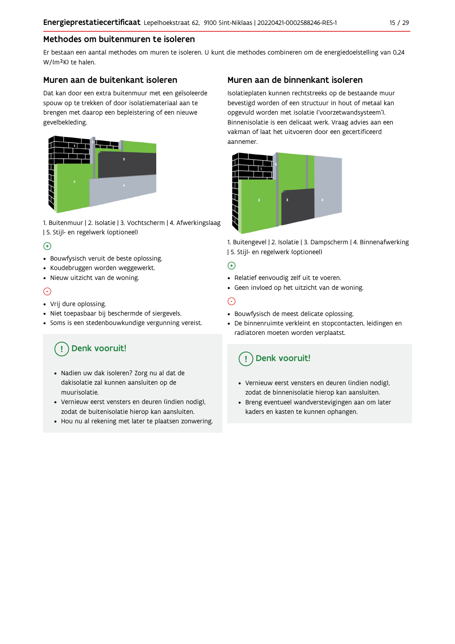## Methodes om buitenmuren te isoleren

Er bestaan een aantal methodes om muren te isoleren. U kunt die methodes combineren om de energiedoelstelling van 0,24 W/(m<sup>2</sup>K) te halen.

## Muren aan de buitenkant isoleren

Dat kan door een extra buitenmuur met een geïsoleerde spouw op te trekken of door isolatiemateriaal aan te brengen met daarop een bepleistering of een nieuwe gevelbekleding.



1. Buitenmuur | 2. Isolatie | 3. Vochtscherm | 4. Afwerkingslaag | 5. Stijl- en regelwerk (optioneel)

## $\bigoplus$

- Bouwfysisch veruit de beste oplossing.
- Koudebruggen worden weggewerkt.
- · Nieuw uitzicht van de woning.

## $\odot$

### • Vrij dure oplossing.

- · Niet toepasbaar bij beschermde of siergevels.
- Soms is een stedenbouwkundige vergunning vereist.

## Denk vooruit!

- · Nadien uw dak isoleren? Zorg nu al dat de dakisolatie zal kunnen aansluiten op de muurisolatie.
- · Vernieuw eerst vensters en deuren (indien nodig), zodat de buitenisolatie hierop kan aansluiten.
- Hou nu al rekening met later te plaatsen zonwering.

## Muren aan de binnenkant isoleren

Isolatieplaten kunnen rechtstreeks op de bestaande muur bevestigd worden of een structuur in hout of metaal kan opgevuld worden met isolatie ('voorzetwandsysteem'). Binnenisolatie is een delicaat werk. Vraag advies aan een vakman of laat het uitvoeren door een gecertificeerd aannemer



1. Buitengevel | 2. Isolatie | 3. Dampscherm | 4. Binnenafwerking | 5. Stijl- en regelwerk (optioneel)

## $\bigoplus$

- Relatief eenvoudig zelf uit te voeren.
- Geen invloed op het uitzicht van de woning.

## ⊝

- Bouwfysisch de meest delicate oplossing.
- · De binnenruimte verkleint en stopcontacten, leidingen en radiatoren moeten worden verplaatst.

## Denk vooruit!

- Vernieuw eerst vensters en deuren (indien nodig), zodat de binnenisolatie hierop kan aansluiten.
- · Breng eventueel wandverstevigingen aan om later kaders en kasten te kunnen ophangen.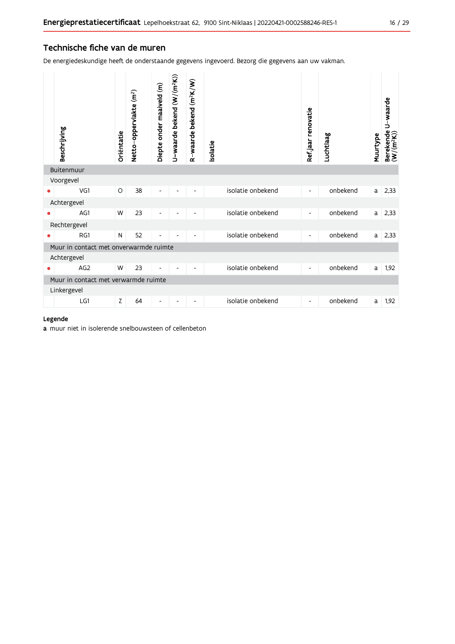## Technische fiche van de muren

De energiedeskundige heeft de onderstaande gegevens ingevoerd. Bezorg die gegevens aan uw vakman.

| Beschrijving                           | Oriëntatie | Netto-oppervlakte (m <sup>2</sup> ) | Diepte onder maaiveld (m) | U-waarde bekend (W/(m <sup>2</sup> K)) | R-waarde bekend (m <sup>2</sup> K/W) | <b>Isolatie</b> |                   | Ref.jaar renovatie       | Luchtlaag | Muurtype | U-waarde<br>Berekende l<br>(W/(m <sup>2</sup> K)) |
|----------------------------------------|------------|-------------------------------------|---------------------------|----------------------------------------|--------------------------------------|-----------------|-------------------|--------------------------|-----------|----------|---------------------------------------------------|
| Buitenmuur                             |            |                                     |                           |                                        |                                      |                 |                   |                          |           |          |                                                   |
| Voorgevel                              |            |                                     |                           |                                        |                                      |                 |                   |                          |           |          |                                                   |
| VG1                                    | $\circ$    | 38                                  |                           |                                        |                                      |                 | isolatie onbekend | ٠                        | onbekend  | a        | 2,33                                              |
| Achtergevel                            |            |                                     |                           |                                        |                                      |                 |                   |                          |           |          |                                                   |
| AG1                                    | W          | 23                                  |                           |                                        |                                      |                 | isolatie onbekend | $\overline{\phantom{a}}$ | onbekend  | a        | 2,33                                              |
| Rechtergevel                           |            |                                     |                           |                                        |                                      |                 |                   |                          |           |          |                                                   |
| RG1                                    | N          | 52                                  |                           |                                        |                                      |                 | isolatie onbekend | $\overline{\phantom{a}}$ | onbekend  | a        | 2,33                                              |
| Muur in contact met onverwarmde ruimte |            |                                     |                           |                                        |                                      |                 |                   |                          |           |          |                                                   |
| Achtergevel                            |            |                                     |                           |                                        |                                      |                 |                   |                          |           |          |                                                   |
| AG <sub>2</sub>                        | W          | 23                                  | $\overline{a}$            |                                        |                                      |                 | isolatie onbekend | $\overline{\phantom{a}}$ | onbekend  | a        | 1,92                                              |
| Muur in contact met verwarmde ruimte   |            |                                     |                           |                                        |                                      |                 |                   |                          |           |          |                                                   |
| Linkergevel                            |            |                                     |                           |                                        |                                      |                 |                   |                          |           |          |                                                   |
| LG1                                    | Z          | 64                                  | $\overline{\phantom{a}}$  | $\overline{\phantom{a}}$               | $\overline{\phantom{a}}$             |                 | isolatie onbekend | $\overline{\phantom{a}}$ | onbekend  | a        | 1,92                                              |

#### Legende

a muur niet in isolerende snelbouwsteen of cellenbeton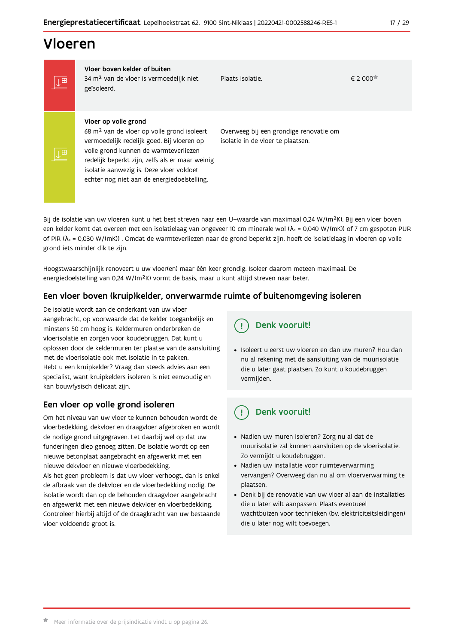## Vloeren

IT

|⊥⊞

Vloer boven kelder of buiten 34 m<sup>2</sup> van de vloer is vermoedelijk niet geïsoleerd.

Plaats isolatie.

€ 2 000<sup>★</sup>

#### Vloer op volle grond

68 m<sup>2</sup> van de vloer op volle grond isoleert vermoedelijk redelijk goed. Bij vloeren op volle grond kunnen de warmteverliezen redelijk beperkt zijn, zelfs als er maar weinig isolatie aanwezig is. Deze vloer voldoet echter nog niet aan de energiedoelstelling.

Overweeg bij een grondige renovatie om isolatie in de vloer te plaatsen.

Bij de isolatie van uw vloeren kunt u het best streven naar een U-waarde van maximaal 0,24 W/(m<sup>2</sup>K). Bij een vloer boven een kelder komt dat overeen met een isolatielaag van ongeveer 10 cm minerale wol ( $\lambda_d$  = 0,040 W/(mK)) of 7 cm gespoten PUR of PIR ( $\lambda_0$  = 0,030 W/(mK)). Omdat de warmteverliezen naar de grond beperkt zijn, hoeft de isolatielaag in vloeren op volle grond iets minder dik te zijn.

Hoogstwaarschijnlijk renoveert u uw vloer(en) maar één keer grondig. Isoleer daarom meteen maximaal. De energiedoelstelling van 0,24 W/(m<sup>2</sup>K) vormt de basis, maar u kunt altijd streven naar beter.

## Een vloer boven (kruip)kelder, onverwarmde ruimte of buitenomgeving isoleren

De isolatie wordt aan de onderkant van uw vloer aangebracht, op voorwaarde dat de kelder toegankelijk en minstens 50 cm hoog is. Keldermuren onderbreken de vloerisolatie en zorgen voor koudebruggen. Dat kunt u oplossen door de keldermuren ter plaatse van de aansluiting met de vloerisolatie ook met isolatie in te pakken. Hebt u een kruipkelder? Vraag dan steeds advies aan een specialist, want kruipkelders isoleren is niet eenvoudig en kan bouwfysisch delicaat zijn.

## Een vloer op volle grond isoleren

Om het niveau van uw vloer te kunnen behouden wordt de vloerbedekking, dekvloer en draagvloer afgebroken en wordt de nodige grond uitgegraven. Let daarbij wel op dat uw funderingen diep genoeg zitten. De isolatie wordt op een nieuwe betonplaat aangebracht en afgewerkt met een nieuwe dekyloer en nieuwe vloerbedekking.

Als het geen probleem is dat uw vloer verhoogt, dan is enkel de afbraak van de dekvloer en de vloerbedekking nodig. De isolatie wordt dan op de behouden draagvloer aangebracht en afgewerkt met een nieuwe dekvloer en vloerbedekking. Controleer hierbij altijd of de draagkracht van uw bestaande vloer voldoende groot is.

Denk vooruit!

· Isoleert u eerst uw vloeren en dan uw muren? Hou dan nu al rekening met de aansluiting van de muurisolatie die u later gaat plaatsen. Zo kunt u koudebruggen vermijden.

#### Denk vooruit! ្ម

- · Nadien uw muren isoleren? Zorg nu al dat de muurisolatie zal kunnen aansluiten op de vloerisolatie. Zo vermijdt u koudebruggen.
- Nadien uw installatie voor ruimteverwarming vervangen? Overweeg dan nu al om vloerverwarming te plaatsen.
- · Denk bij de renovatie van uw vloer al aan de installaties die u later wilt aanpassen. Plaats eventueel wachtbuizen voor technieken (bv. elektriciteitsleidingen) die u later nog wilt toevoegen.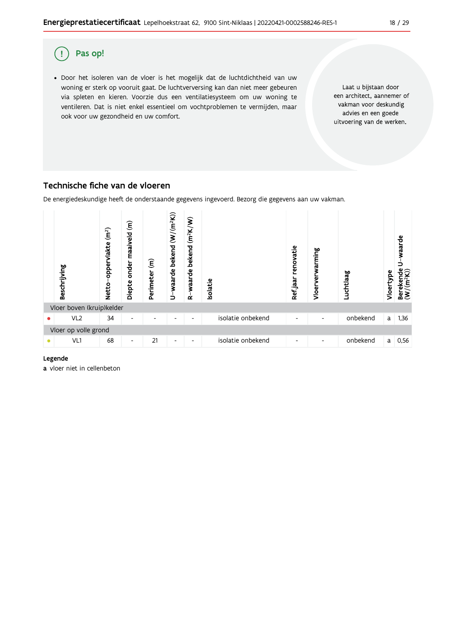

## Technische fiche van de vloeren

De energiedeskundige heeft de onderstaande gegevens ingevoerd. Bezorg die gegevens aan uw vakman.



#### Legende

a vloer niet in cellenbeton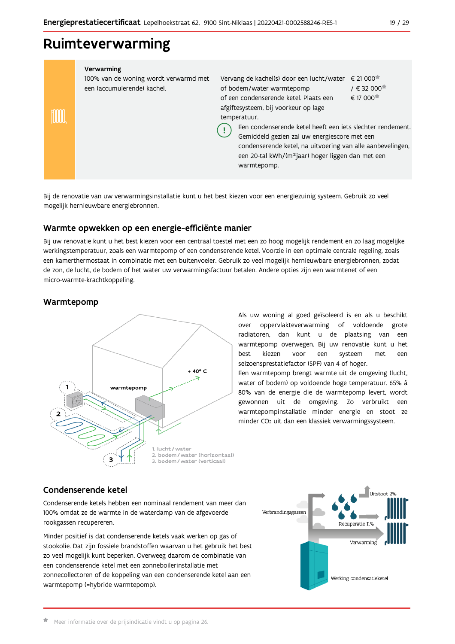## Ruimteverwarming

| Verwarming<br>100% van de woning wordt verwarmd met<br>een (accumulerende) kachel. | Vervang de kachel(s) door een lucht/water<br>of bodem/water warmtepomp<br>of een condenserende ketel. Plaats een<br>afgiftesysteem, bij voorkeur op lage<br>temperatuur.<br>Een condenserende ketel heeft een jets slechter rendement.<br>Gemiddeld gezien zal uw energiescore met een<br>condenserende ketel, na uitvoering van alle aanbevelingen,<br>een 20-tal kWh/(m <sup>2</sup> jaar) hoger liggen dan met een<br>warmtepomp. | $\epsilon$ 21 000 <sup><math>\pi</math></sup><br>$/ \in 32000$<br>€ 17 000 <sup><math>\dagger</math></sup> |
|------------------------------------------------------------------------------------|--------------------------------------------------------------------------------------------------------------------------------------------------------------------------------------------------------------------------------------------------------------------------------------------------------------------------------------------------------------------------------------------------------------------------------------|------------------------------------------------------------------------------------------------------------|

Bij de renovatie van uw verwarmingsinstallatie kunt u het best kiezen voor een energiezuinig systeem. Gebruik zo veel mogelijk hernieuwbare energiebronnen.

## Warmte opwekken op een energie-efficiënte manier

Bij uw renovatie kunt u het best kiezen voor een centraal toestel met een zo hoog mogelijk rendement en zo laag mogelijke werkingstemperatuur, zoals een warmtepomp of een condenserende ketel. Voorzie in een optimale centrale regeling, zoals een kamerthermostaat in combinatie met een buitenvoeler. Gebruik zo veel mogelijk hernieuwbare energiebronnen, zodat de zon, de lucht, de bodem of het water uw verwarmingsfactuur betalen. Andere opties zijn een warmtenet of een micro-warmte-krachtkoppeling.

## Warmtepomp



Als uw woning al goed geïsoleerd is en als u beschikt over oppervlakteverwarming of voldoende grote radiatoren, dan kunt u de plaatsing van een warmtepomp overwegen. Bij uw renovatie kunt u het best kiezen voor een systeem met een seizoensprestatiefactor (SPF) van 4 of hoger.

Een warmtepomp brengt warmte uit de omgeving (lucht, water of bodem) op voldoende hoge temperatuur. 65% à 80% van de energie die de warmtepomp levert, wordt gewonnen uit de omgeving. Zo verbruikt een warmtepompinstallatie minder energie en stoot ze minder CO<sub>2</sub> uit dan een klassiek verwarmingssysteem.

## Condenserende ketel

Condenserende ketels hebben een nominaal rendement van meer dan 100% omdat ze de warmte in de waterdamp van de afgevoerde rookgassen recupereren.

Minder positief is dat condenserende ketels vaak werken op gas of stookolie. Dat zijn fossiele brandstoffen waarvan u het gebruik het best zo veel mogelijk kunt beperken. Overweeg daarom de combinatie van een condenserende ketel met een zonneboilerinstallatie met zonnecollectoren of de koppeling van een condenserende ketel aan een warmtepomp (=hybride warmtepomp).

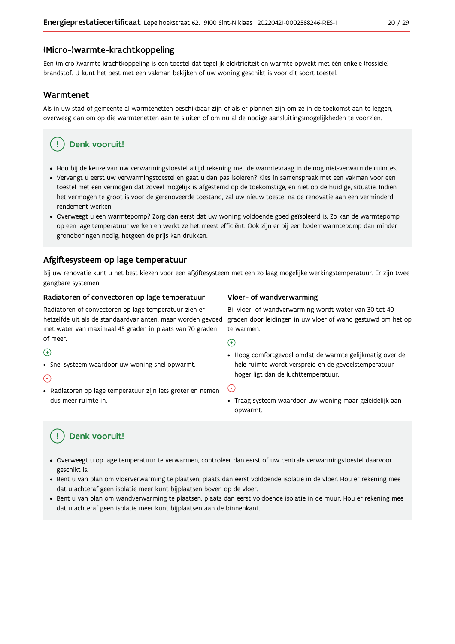### (Micro-)warmte-krachtkoppeling

Een (micro-)warmte-krachtkoppeling is een toestel dat tegelijk elektriciteit en warmte opwekt met één enkele (fossiele) brandstof. U kunt het best met een vakman bekijken of uw woning geschikt is voor dit soort toestel.

#### Warmtenet

Als in uw stad of gemeente al warmtenetten beschikbaar zijn of als er plannen zijn om ze in de toekomst aan te leggen, overweeg dan om op die warmtenetten aan te sluiten of om nu al de nodige aansluitingsmogelijkheden te voorzien.

## Denk vooruit!

- · Hou bij de keuze van uw verwarmingstoestel altijd rekening met de warmtevraag in de nog niet-verwarmde ruimtes.
- Vervangt u eerst uw verwarmingstoestel en gaat u dan pas isoleren? Kies in samenspraak met een vakman voor een toestel met een vermogen dat zoveel mogelijk is afgestemd op de toekomstige, en niet op de huidige, situatie. Indien het vermogen te groot is voor de gerenoveerde toestand, zal uw nieuw toestel na de renovatie aan een verminderd rendement werken.
- · Overweegt u een warmtepomp? Zorg dan eerst dat uw woning voldoende goed geïsoleerd is. Zo kan de warmtepomp op een lage temperatuur werken en werkt ze het meest efficiënt. Ook zijn er bij een bodemwarmtepomp dan minder grondboringen nodig, hetgeen de prijs kan drukken.

## Afgiftesysteem op lage temperatuur

Bij uw renovatie kunt u het best kiezen voor een afgiftesysteem met een zo laag mogelijke werkingstemperatuur. Er zijn twee gangbare systemen.

#### Radiatoren of convectoren op lage temperatuur

Radiatoren of convectoren op lage temperatuur zien er hetzelfde uit als de standaardvarianten, maar worden gevoed met water van maximaal 45 graden in plaats van 70 graden of meer.

#### $\bigoplus$

• Snel systeem waardoor uw woning snel opwarmt.

#### $\bigodot$

· Radiatoren op lage temperatuur zijn iets groter en nemen dus meer ruimte in.

#### Vloer- of wandverwarming

Bij vloer- of wandverwarming wordt water van 30 tot 40 graden door leidingen in uw vloer of wand gestuwd om het op te warmen.

#### $\bigoplus$

· Hoog comfortgevoel omdat de warmte gelijkmatig over de hele ruimte wordt verspreid en de gevoelstemperatuur hoger ligt dan de luchttemperatuur.

#### ∈

• Traag systeem waardoor uw woning maar geleidelijk aan opwarmt.

## Denk vooruit!

- · Overweegt u op lage temperatuur te verwarmen, controleer dan eerst of uw centrale verwarmingstoestel daarvoor geschikt is.
- · Bent u van plan om vloerverwarming te plaatsen, plaats dan eerst voldoende isolatie in de vloer. Hou er rekening mee dat u achteraf geen isolatie meer kunt bijplaatsen boven op de vloer.
- · Bent u van plan om wandverwarming te plaatsen, plaats dan eerst voldoende isolatie in de muur. Hou er rekening mee dat u achteraf geen isolatie meer kunt bijplaatsen aan de binnenkant.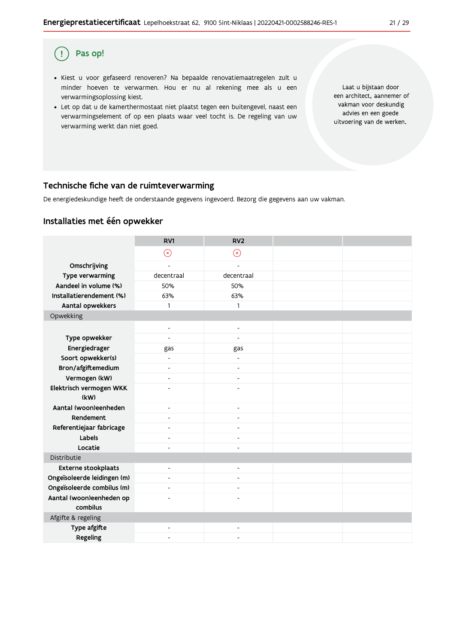#### Pas op! (!)

- · Kiest u voor gefaseerd renoveren? Na bepaalde renovatiemaatregelen zult u minder hoeven te verwarmen. Hou er nu al rekening mee als u een verwarmingsoplossing kiest.
- . Let op dat u de kamerthermostaat niet plaatst tegen een buitengevel, naast een verwarmingselement of op een plaats waar veel tocht is. De regeling van uw verwarming werkt dan niet goed.

Laat u bijstaan door een architect, aannemer of vakman voor deskundig advies en een goede uitvoering van de werken.

### Technische fiche van de ruimteverwarming

De energiedeskundige heeft de onderstaande gegevens ingevoerd. Bezorg die gegevens aan uw vakman.

### Installaties met één opwekker

|                                      | RV1                          | RV <sub>2</sub>          |  |
|--------------------------------------|------------------------------|--------------------------|--|
|                                      | $\odot$                      | $\circledR$              |  |
| Omschrijving                         | $\overline{a}$               | $\overline{a}$           |  |
| Type verwarming                      | decentraal                   | decentraal               |  |
| Aandeel in volume (%)                | 50%                          | 50%                      |  |
| Installatierendement (%)             | 63%                          | 63%                      |  |
| Aantal opwekkers                     | 1                            | 1                        |  |
| Opwekking                            |                              |                          |  |
|                                      | $\overline{\phantom{a}}$     | $\overline{\phantom{a}}$ |  |
| Type opwekker                        | $\overline{a}$               | $\overline{a}$           |  |
| Energiedrager                        | gas                          | gas                      |  |
| Soort opwekker(s)                    |                              |                          |  |
| Bron/afgiftemedium                   | $\overline{\phantom{a}}$     | $\overline{\phantom{a}}$ |  |
| Vermogen (kW)                        | $\overline{a}$               | ٠                        |  |
| Elektrisch vermogen WKK              | ٠                            | ÷,                       |  |
| (kW)                                 |                              |                          |  |
| Aantal (woon)eenheden                | $\overline{\phantom{a}}$     | $\overline{\phantom{a}}$ |  |
| Rendement                            | $\blacksquare$               | $\blacksquare$           |  |
| Referentiejaar fabricage             | ٠                            |                          |  |
| Labels                               | $\overline{\phantom{0}}$     | $\overline{\phantom{a}}$ |  |
| Locatie                              | ٠                            | ٠                        |  |
| Distributie                          |                              |                          |  |
| <b>Externe stookplaats</b>           | $\blacksquare$               | $\blacksquare$           |  |
| Ongeïsoleerde leidingen (m)          | $\overline{\phantom{a}}$     | $\overline{\phantom{a}}$ |  |
| Ongeïsoleerde combilus (m)           | $\overline{\phantom{a}}$     | ٠                        |  |
| Aantal (woon)eenheden op<br>combilus | $\qquad \qquad \blacksquare$ | $\overline{a}$           |  |
| Afgifte & regeling                   |                              |                          |  |
| Type afgifte                         | ٠                            | $\overline{\phantom{a}}$ |  |
| Regeling                             | ٠                            |                          |  |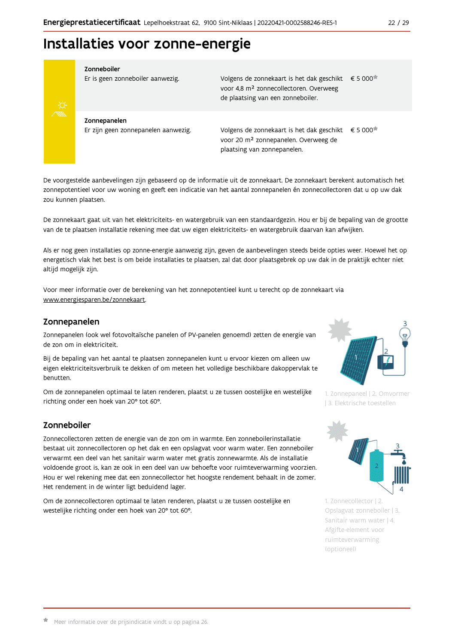## Installaties voor zonne-energie



#### Zonneboiler

Er is geen zonneboiler aanwezig.

Volgens de zonnekaart is het dak geschikt € 5 000 voor 4,8 m<sup>2</sup> zonnecollectoren. Overweeg de plaatsing van een zonneboiler.

Zonnepanelen Er zijn geen zonnepanelen aanwezig.

Volgens de zonnekaart is het dak geschikt  $\epsilon$  5 000<sup> $\star$ </sup> voor 20 m<sup>2</sup> zonnepanelen. Overweeg de plaatsing van zonnepanelen.

De voorgestelde aanbevelingen zijn gebaseerd op de informatie uit de zonnekaart. De zonnekaart berekent automatisch het zonnepotentieel voor uw woning en geeft een indicatie van het aantal zonnepanelen én zonnecollectoren dat u op uw dak zou kunnen plaatsen.

De zonnekaart gaat uit van het elektriciteits- en watergebruik van een standaardgezin. Hou er bij de bepaling van de grootte van de te plaatsen installatie rekening mee dat uw eigen elektriciteits- en watergebruik daarvan kan afwijken.

Als er nog geen installaties op zonne-energie aanwezig zijn, geven de aanbevelingen steeds beide opties weer. Hoewel het op energetisch vlak het best is om beide installaties te plaatsen, zal dat door plaatsgebrek op uw dak in de praktijk echter niet altijd mogelijk zijn.

Voor meer informatie over de berekening van het zonnepotentieel kunt u terecht op de zonnekaart via www.energiesparen.be/zonnekaart.

### Zonnepanelen

Zonnepanelen (ook wel fotovoltaïsche panelen of PV-panelen genoemd) zetten de energie van de zon om in elektriciteit.

Bij de bepaling van het aantal te plaatsen zonnepanelen kunt u ervoor kiezen om alleen uw eigen elektriciteitsverbruik te dekken of om meteen het volledige beschikbare dakoppervlak te benutten.

Om de zonnepanelen optimaal te laten renderen, plaatst u ze tussen oostelijke en westelijke richting onder een hoek van 20° tot 60°.

## Zonneboiler

Zonnecollectoren zetten de energie van de zon om in warmte. Een zonneboilerinstallatie bestaat uit zonnecollectoren op het dak en een opslagvat voor warm water. Een zonneboiler verwarmt een deel van het sanitair warm water met gratis zonnewarmte. Als de installatie voldoende groot is, kan ze ook in een deel van uw behoefte voor ruimteverwarming voorzien. Hou er wel rekening mee dat een zonnecollector het hoogste rendement behaalt in de zomer. Het rendement in de winter ligt beduidend lager.

Om de zonnecollectoren optimaal te laten renderen, plaatst u ze tussen oostelijke en westelijke richting onder een hoek van 20° tot 60°.



1. Zonnepaneel | 2. Omvormer | 3. Elektrische toestellen



1. Zonnecollector | 2. Opslagvat zonneboiler | 3. Sanitair warm water | 4. Afgifte-element voor ruimteverwarming (optioneel)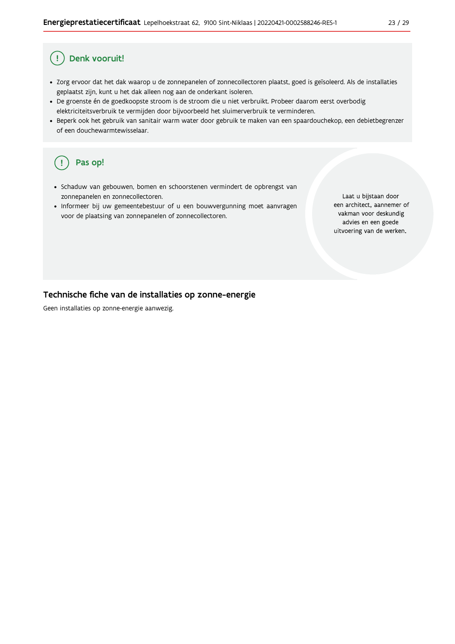#### Ţ Denk vooruit!

- · Zorg ervoor dat het dak waarop u de zonnepanelen of zonnecollectoren plaatst, goed is geïsoleerd. Als de installaties geplaatst zijn, kunt u het dak alleen nog aan de onderkant isoleren.
- · De groenste én de goedkoopste stroom is de stroom die u niet verbruikt. Probeer daarom eerst overbodig elektriciteitsverbruik te vermijden door bijvoorbeeld het sluimerverbruik te verminderen.
- · Beperk ook het gebruik van sanitair warm water door gebruik te maken van een spaardouchekop, een debietbegrenzer of een douchewarmtewisselaar.

#### Pas op! ( !

- · Schaduw van gebouwen, bomen en schoorstenen vermindert de opbrengst van zonnepanelen en zonnecollectoren.
- Informeer bij uw gemeentebestuur of u een bouwvergunning moet aanvragen voor de plaatsing van zonnepanelen of zonnecollectoren.

Laat u bijstaan door een architect, aannemer of vakman voor deskundig advies en een goede uitvoering van de werken.

### Technische fiche van de installaties op zonne-energie

Geen installaties op zonne-energie aanwezig.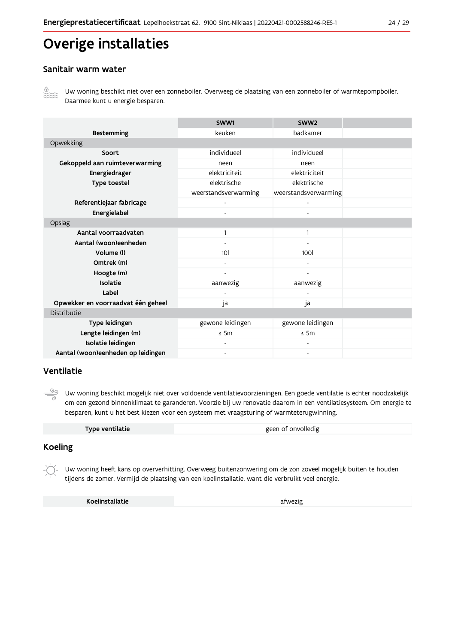# Overige installaties

## Sanitair warm water



Uw woning beschikt niet over een zonneboiler. Overweeg de plaatsing van een zonneboiler of warmtepompboiler. Daarmee kunt u energie besparen.

|                                    | SWW1                 | SWW <sub>2</sub>             |  |
|------------------------------------|----------------------|------------------------------|--|
| <b>Bestemming</b>                  | keuken               | badkamer                     |  |
| Opwekking                          |                      |                              |  |
| Soort                              | individueel          | individueel                  |  |
| Gekoppeld aan ruimteverwarming     | neen                 | neen                         |  |
| Energiedrager                      | elektriciteit        | elektriciteit                |  |
| Type toestel                       | elektrische          | elektrische                  |  |
|                                    | weerstandsverwarming | weerstandsverwarming         |  |
| Referentiejaar fabricage           |                      |                              |  |
| Energielabel                       |                      |                              |  |
| Opslag                             |                      |                              |  |
| Aantal voorraadvaten               |                      | 1                            |  |
| Aantal (woon)eenheden              |                      | $\qquad \qquad \blacksquare$ |  |
| Volume (I)                         | 101                  | <b>100l</b>                  |  |
| Omtrek (m)                         |                      |                              |  |
| Hoogte (m)                         |                      |                              |  |
| Isolatie                           | aanwezig             | aanwezig                     |  |
| Label                              |                      |                              |  |
| Opwekker en voorraadvat één geheel | ja                   | ja                           |  |
| Distributie                        |                      |                              |  |
| Type leidingen                     | gewone leidingen     | gewone leidingen             |  |
| Lengte leidingen (m)               | $\leq$ 5m            | $\leq$ 5m                    |  |
| Isolatie leidingen                 |                      |                              |  |
| Aantal (woon)eenheden op leidingen |                      |                              |  |

### Ventilatie

 $\frac{50}{2}$ Uw woning beschikt mogelijk niet over voldoende ventilatievoorzieningen. Een goede ventilatie is echter noodzakelijk om een gezond binnenklimaat te garanderen. Voorzie bij uw renovatie daarom in een ventilatiesysteem. Om energie te besparen, kunt u het best kiezen voor een systeem met vraagsturing of warmteterugwinning.

| Type ventilatie | geen of onvolledig |
|-----------------|--------------------|
|-----------------|--------------------|

## **Koeling**

Uw woning heeft kans op oververhitting. Overweeg buitenzonwering om de zon zoveel mogelijk buiten te houden tijdens de zomer. Vermijd de plaatsing van een koelinstallatie, want die verbruikt veel energie.

Koelinstallatie

afwezig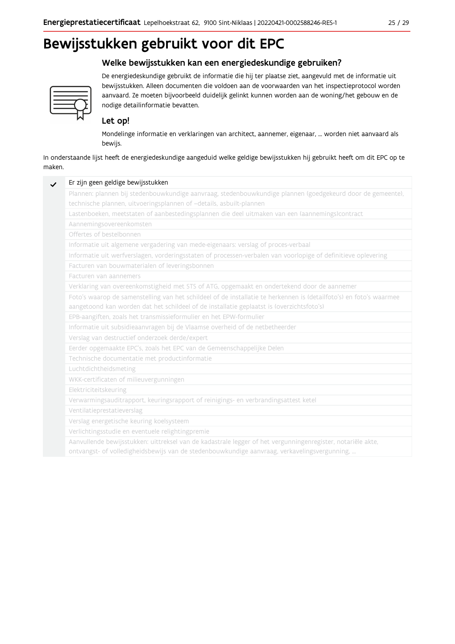# Bewijsstukken gebruikt voor dit EPC

## Welke bewijsstukken kan een energiedeskundige gebruiken?



De energiedeskundige gebruikt de informatie die hij ter plaatse ziet, aangevuld met de informatie uit bewijsstukken. Alleen documenten die voldoen aan de voorwaarden van het inspectieprotocol worden aanvaard. Ze moeten bijvoorbeeld duidelijk gelinkt kunnen worden aan de woning/het gebouw en de nodige detailinformatie bevatten.

## Let op!

Mondelinge informatie en verklaringen van architect, aannemer, eigenaar, ... worden niet aanvaard als bewijs.

In onderstaande lijst heeft de energiedeskundige aangeduid welke geldige bewijsstukken hij gebruikt heeft om dit EPC op te maken.

| Plannen: plannen bij stedenbouwkundige aanvraag, stedenbouwkundige plannen (goedgekeurd door de gemeente),          |
|---------------------------------------------------------------------------------------------------------------------|
| technische plannen, uitvoeringsplannen of -details, asbuilt-plannen                                                 |
| Lastenboeken, meetstaten of aanbestedingsplannen die deel uitmaken van een (aannemings)contract                     |
| Aannemingsovereenkomsten                                                                                            |
| Offertes of bestelbonnen                                                                                            |
| Informatie uit algemene vergadering van mede-eigenaars: verslag of proces-verbaal                                   |
| Informatie uit werfverslagen, vorderingsstaten of processen-verbalen van voorlopige of definitieve oplevering       |
| Facturen van bouwmaterialen of leveringsbonnen                                                                      |
| Facturen van aannemers                                                                                              |
| Verklaring van overeenkomstigheid met STS of ATG, opgemaakt en ondertekend door de aannemer                         |
| Foto's waarop de samenstelling van het schildeel of de installatie te herkennen is (detailfoto's) en foto's waarmee |
| aangetoond kan worden dat het schildeel of de installatie geplaatst is (overzichtsfoto's)                           |
| EPB-aangiften, zoals het transmissieformulier en het EPW-formulier                                                  |
| Informatie uit subsidieaanvragen bij de Vlaamse overheid of de netbetheerder                                        |
| Verslag van destructief onderzoek derde/expert                                                                      |
| Eerder opgemaakte EPC's, zoals het EPC van de Gemeenschappelijke Delen                                              |
| Technische documentatie met productinformatie                                                                       |
| Luchtdichtheidsmeting                                                                                               |
| WKK-certificaten of milieuvergunningen                                                                              |
| Elektriciteitskeuring                                                                                               |
| Verwarmingsauditrapport, keuringsrapport of reinigings- en verbrandingsattest ketel                                 |
| Ventilatieprestatieverslag                                                                                          |
| Verslag energetische keuring koelsysteem                                                                            |
| Verlichtingsstudie en eventuele relightingpremie                                                                    |
| Aanvullende bewijsstukken: uittreksel van de kadastrale legger of het vergunningenregister, notariële akte,         |
| ontvangst- of volledigheidsbewijs van de stedenbouwkundige aanvraag, verkavelingsvergunning,                        |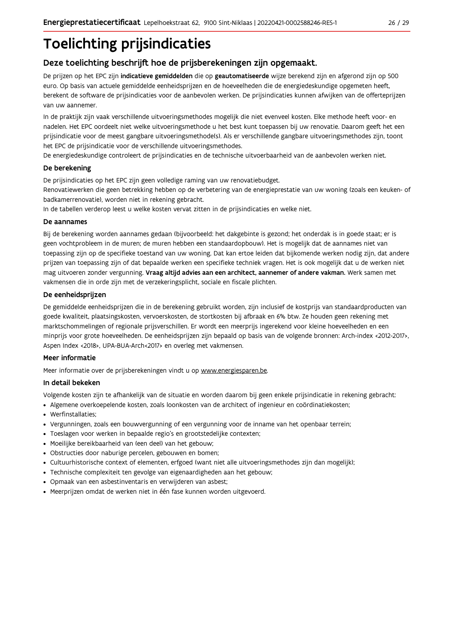# **Toelichting prijsindicaties**

## Deze toelichting beschrijft hoe de prijsberekeningen zijn opgemaakt.

De prijzen op het EPC zijn indicatieve gemiddelden die op geautomatiseerde wijze berekend zijn en afgerond zijn op 500 euro. Op basis van actuele gemiddelde eenheidsprijzen en de hoeveelheden die de energiedeskundige opgemeten heeft, berekent de software de prijsindicaties voor de aanbevolen werken. De prijsindicaties kunnen afwijken van de offerteprijzen van uw aannemer.

In de praktijk zijn vaak verschillende uitvoeringsmethodes mogelijk die niet evenveel kosten. Elke methode heeft voor- en nadelen. Het EPC oordeelt niet welke uitvoeringsmethode u het best kunt toepassen bij uw renovatie. Daarom geeft het een prijsindicatie voor de meest gangbare uitvoeringsmethode(s). Als er verschillende gangbare uitvoeringsmethodes zijn, toont het EPC de prijsindicatie voor de verschillende uitvoeringsmethodes.

De energiedeskundige controleert de prijsindicaties en de technische uitvoerbaarheid van de aanbevolen werken niet.

#### De berekening

De prijsindicaties op het EPC zijn geen volledige raming van uw renovatiebudget.

Renovatiewerken die geen betrekking hebben op de verbetering van de energieprestatie van uw woning (zoals een keuken- of badkamerrenovatie), worden niet in rekening gebracht.

In de tabellen verderop leest u welke kosten vervat zitten in de prijsindicaties en welke niet.

#### De aannames

Bij de berekening worden aannames gedaan (bijvoorbeeld: het dakgebinte is gezond; het onderdak is in goede staat; er is geen vochtprobleem in de muren; de muren hebben een standaardopbouw). Het is mogelijk dat de aannames niet van toepassing zijn op de specifieke toestand van uw woning. Dat kan ertoe leiden dat bijkomende werken nodig zijn, dat andere prijzen van toepassing zijn of dat bepaalde werken een specifieke techniek vragen. Het is ook mogelijk dat u de werken niet mag uitvoeren zonder vergunning. Vraag altijd advies aan een architect, aannemer of andere vakman. Werk samen met vakmensen die in orde zijn met de verzekeringsplicht, sociale en fiscale plichten.

#### De eenheidsprijzen

De gemiddelde eenheidspriizen die in de berekening gebruikt worden, zijn inclusief de kostpriis van standaardproducten van goede kwaliteit, plaatsingskosten, vervoerskosten, de stortkosten bij afbraak en 6% btw. Ze houden geen rekening met marktschommelingen of regionale prijsverschillen. Er wordt een meerprijs ingerekend voor kleine hoeveelheden en een minprijs voor grote hoeveelheden. De eenheidsprijzen zijn bepaald op basis van de volgende bronnen: Arch-index <2012-2017>, Aspen Index <2018>, UPA-BUA-Arch<2017> en overleg met vakmensen.

### Meer informatie

Meer informatie over de prijsberekeningen vindt u op www.energiesparen.be.

#### In detail bekeken

Volgende kosten zijn te afhankelijk van de situatie en worden daarom bij geen enkele prijsindicatie in rekening gebracht:

- Algemene overkoepelende kosten, zoals loonkosten van de architect of ingenieur en coördinatiekosten;
- Werfinstallaties:
- · Vergunningen, zoals een bouwvergunning of een vergunning voor de inname van het openbaar terrein;
- Toeslagen voor werken in bepaalde regio's en grootstedelijke contexten:
- · Moeilijke bereikbaarheid van (een deel) van het gebouw;
- · Obstructies door naburige percelen, gebouwen en bomen;
- · Cultuurhistorische context of elementen, erfgoed (want niet alle uitvoeringsmethodes zijn dan mogelijk);
- · Technische complexiteit ten gevolge van eigenaardigheden aan het gebouw;
- · Opmaak van een asbestinventaris en verwijderen van asbest;
- · Meerprijzen omdat de werken niet in één fase kunnen worden uitgevoerd.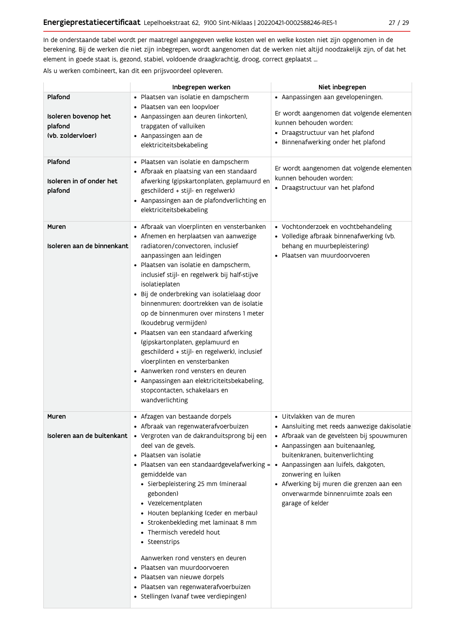In de onderstaande tabel wordt per maatregel aangegeven welke kosten wel en welke kosten niet zijn opgenomen in de berekening. Bij de werken die niet zijn inbegrepen, wordt aangenomen dat de werken niet altijd noodzakelijk zijn, of dat het element in goede staat is, gezond, stabiel, voldoende draagkrachtig, droog, correct geplaatst ...

Als u werken combineert, kan dit een prijsvoordeel opleveren.

|                                                                 | Inbegrepen werken                                                                                                                                                                                                                                                                                                                                                                                                                                                                                                                                                                                                                                                                                                                               | Niet inbegrepen                                                                                                                                                                                                                                                                                                                                                                  |  |
|-----------------------------------------------------------------|-------------------------------------------------------------------------------------------------------------------------------------------------------------------------------------------------------------------------------------------------------------------------------------------------------------------------------------------------------------------------------------------------------------------------------------------------------------------------------------------------------------------------------------------------------------------------------------------------------------------------------------------------------------------------------------------------------------------------------------------------|----------------------------------------------------------------------------------------------------------------------------------------------------------------------------------------------------------------------------------------------------------------------------------------------------------------------------------------------------------------------------------|--|
| Plafond<br>Isoleren bovenop het<br>plafond<br>(vb. zoldervloer) | · Plaatsen van isolatie en dampscherm<br>· Plaatsen van een loopvloer<br>• Aanpassingen aan deuren (inkorten),<br>trapgaten of valluiken<br>• Aanpassingen aan de<br>elektriciteitsbekabeling                                                                                                                                                                                                                                                                                                                                                                                                                                                                                                                                                   | • Aanpassingen aan gevelopeningen.<br>Er wordt aangenomen dat volgende elementen<br>kunnen behouden worden:<br>• Draagstructuur van het plafond<br>• Binnenafwerking onder het plafond                                                                                                                                                                                           |  |
| Plafond<br>Isoleren in of onder het<br>plafond                  | · Plaatsen van isolatie en dampscherm<br>• Afbraak en plaatsing van een standaard<br>afwerking (gipskartonplaten, geplamuurd en<br>geschilderd + stijl- en regelwerk)<br>• Aanpassingen aan de plafondverlichting en<br>elektriciteitsbekabeling                                                                                                                                                                                                                                                                                                                                                                                                                                                                                                | Er wordt aangenomen dat volgende elementen<br>kunnen behouden worden:<br>• Draagstructuur van het plafond                                                                                                                                                                                                                                                                        |  |
| Muren<br>Isoleren aan de binnenkant                             | • Afbraak van vloerplinten en vensterbanken<br>• Afnemen en herplaatsen van aanwezige<br>radiatoren/convectoren, inclusief<br>aanpassingen aan leidingen<br>· Plaatsen van isolatie en dampscherm,<br>inclusief stijl- en regelwerk bij half-stijve<br>isolatieplaten<br>· Bij de onderbreking van isolatielaag door<br>binnenmuren: doortrekken van de isolatie<br>op de binnenmuren over minstens 1 meter<br>(koudebrug vermijden)<br>· Plaatsen van een standaard afwerking<br>(gipskartonplaten, geplamuurd en<br>geschilderd + stijl- en regelwerk), inclusief<br>vloerplinten en vensterbanken<br>• Aanwerken rond vensters en deuren<br>• Aanpassingen aan elektriciteitsbekabeling,<br>stopcontacten, schakelaars en<br>wandverlichting | • Vochtonderzoek en vochtbehandeling<br>· Volledige afbraak binnenafwerking (vb.<br>behang en muurbepleistering)<br>· Plaatsen van muurdoorvoeren                                                                                                                                                                                                                                |  |
| Muren<br>Isoleren aan de buitenkant                             | • Afzagen van bestaande dorpels<br>• Afbraak van regenwaterafvoerbuizen<br>· Vergroten van de dakranduitsprong bij een<br>deel van de gevels.<br>• Plaatsen van isolatie<br>· Plaatsen van een standaardgevelafwerking =<br>gemiddelde van<br>· Sierbepleistering 25 mm (mineraal<br>gebonden)<br>• Vezelcementplaten<br>• Houten beplanking (ceder en merbau)<br>• Strokenbekleding met laminaat 8 mm<br>• Thermisch veredeld hout<br>• Steenstrips<br>Aanwerken rond vensters en deuren<br>Plaatsen van muurdoorvoeren<br>$\bullet$<br>• Plaatsen van nieuwe dorpels<br>· Plaatsen van regenwaterafvoerbuizen<br>• Stellingen (vanaf twee verdiepingen)                                                                                       | $\bullet\,$ Uitvlakken van de muren<br>• Aansluiting met reeds aanwezige dakisolatie<br>· Afbraak van de gevelsteen bij spouwmuren<br>• Aanpassingen aan buitenaanleg,<br>buitenkranen, buitenverlichting<br>· Aanpassingen aan luifels, dakgoten,<br>zonwering en luiken<br>• Afwerking bij muren die grenzen aan een<br>onverwarmde binnenruimte zoals een<br>garage of kelder |  |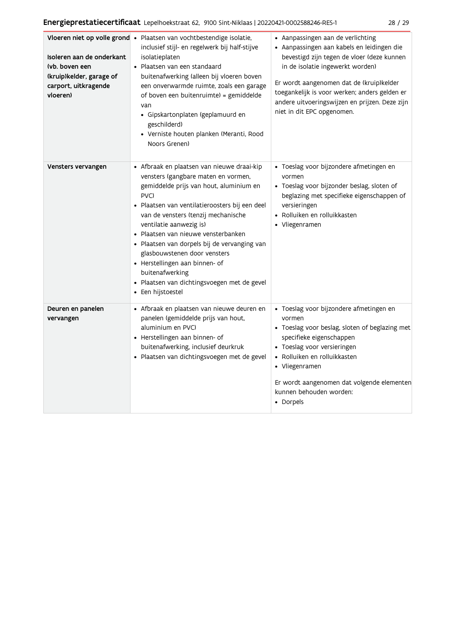| Isoleren aan de onderkant<br>(vb. boven een<br>(kruip)kelder, garage of<br>carport, uitkragende<br>vloeren) | Vloeren niet op volle grond · Plaatsen van vochtbestendige isolatie,<br>inclusief stijl- en regelwerk bij half-stijve<br>isolatieplaten<br>• Plaatsen van een standaard<br>buitenafwerking (alleen bij vloeren boven<br>een onverwarmde ruimte, zoals een garage<br>of boven een buitenruimte) = gemiddelde<br>van<br>· Gipskartonplaten (geplamuurd en<br>geschilderd)<br>· Verniste houten planken (Meranti, Rood<br>Noors Grenen)                                                                     | • Aanpassingen aan de verlichting<br>· Aanpassingen aan kabels en leidingen die<br>bevestigd zijn tegen de vloer (deze kunnen<br>in de isolatie ingewerkt worden)<br>Er wordt aangenomen dat de (kruip)kelder<br>toegankelijk is voor werken; anders gelden er<br>andere uitvoeringswijzen en prijzen. Deze zijn<br>niet in dit EPC opgenomen. |
|-------------------------------------------------------------------------------------------------------------|----------------------------------------------------------------------------------------------------------------------------------------------------------------------------------------------------------------------------------------------------------------------------------------------------------------------------------------------------------------------------------------------------------------------------------------------------------------------------------------------------------|------------------------------------------------------------------------------------------------------------------------------------------------------------------------------------------------------------------------------------------------------------------------------------------------------------------------------------------------|
| Vensters vervangen                                                                                          | • Afbraak en plaatsen van nieuwe draai-kip<br>vensters (gangbare maten en vormen,<br>gemiddelde prijs van hout, aluminium en<br>PVC)<br>· Plaatsen van ventilatieroosters bij een deel<br>van de vensters (tenzij mechanische<br>ventilatie aanwezig is)<br>• Plaatsen van nieuwe vensterbanken<br>· Plaatsen van dorpels bij de vervanging van<br>glasbouwstenen door vensters<br>• Herstellingen aan binnen- of<br>buitenafwerking<br>· Plaatsen van dichtingsvoegen met de gevel<br>• Een hijstoestel | · Toeslag voor bijzondere afmetingen en<br>vormen<br>· Toeslag voor bijzonder beslag, sloten of<br>beglazing met specifieke eigenschappen of<br>versieringen<br>• Rolluiken en rolluikkasten<br>• Vliegenramen                                                                                                                                 |
| Deuren en panelen<br>vervangen                                                                              | • Afbraak en plaatsen van nieuwe deuren en<br>panelen (gemiddelde prijs van hout,<br>aluminium en PVC)<br>• Herstellingen aan binnen- of<br>buitenafwerking, inclusief deurkruk<br>· Plaatsen van dichtingsvoegen met de gevel                                                                                                                                                                                                                                                                           | · Toeslag voor bijzondere afmetingen en<br>vormen<br>• Toeslag voor beslag, sloten of beglazing met<br>specifieke eigenschappen<br>• Toeslag voor versieringen<br>• Rolluiken en rolluikkasten<br>• Vliegenramen<br>Er wordt aangenomen dat volgende elementen<br>kunnen behouden worden:<br>• Dorpels                                         |